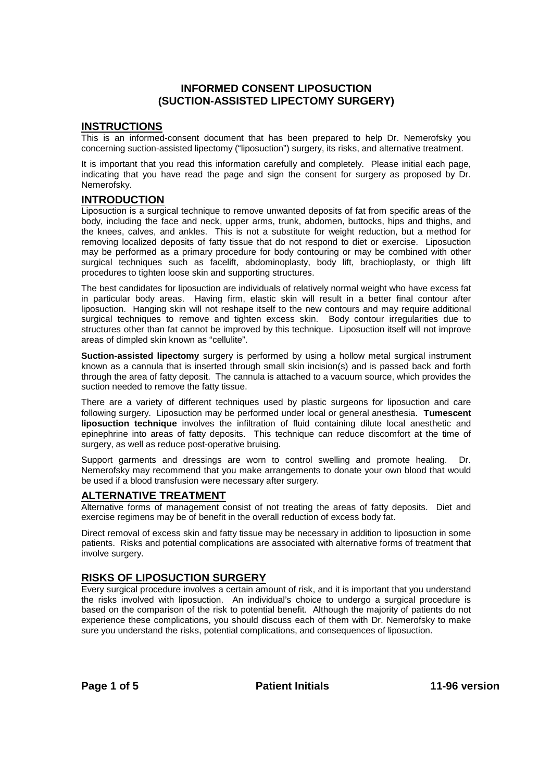## **INFORMED CONSENT LIPOSUCTION (SUCTION-ASSISTED LIPECTOMY SURGERY)**

## **INSTRUCTIONS**

This is an informed-consent document that has been prepared to help Dr. Nemerofsky you concerning suction-assisted lipectomy ("liposuction") surgery, its risks, and alternative treatment.

It is important that you read this information carefully and completely. Please initial each page, indicating that you have read the page and sign the consent for surgery as proposed by Dr. Nemerofsky.

## **INTRODUCTION**

Liposuction is a surgical technique to remove unwanted deposits of fat from specific areas of the body, including the face and neck, upper arms, trunk, abdomen, buttocks, hips and thighs, and the knees, calves, and ankles. This is not a substitute for weight reduction, but a method for removing localized deposits of fatty tissue that do not respond to diet or exercise. Liposuction may be performed as a primary procedure for body contouring or may be combined with other surgical techniques such as facelift, abdominoplasty, body lift, brachioplasty, or thigh lift procedures to tighten loose skin and supporting structures.

The best candidates for liposuction are individuals of relatively normal weight who have excess fat in particular body areas. Having firm, elastic skin will result in a better final contour after liposuction. Hanging skin will not reshape itself to the new contours and may require additional surgical techniques to remove and tighten excess skin. Body contour irregularities due to structures other than fat cannot be improved by this technique. Liposuction itself will not improve areas of dimpled skin known as "cellulite".

**Suction-assisted lipectomy** surgery is performed by using a hollow metal surgical instrument known as a cannula that is inserted through small skin incision(s) and is passed back and forth through the area of fatty deposit. The cannula is attached to a vacuum source, which provides the suction needed to remove the fatty tissue.

There are a variety of different techniques used by plastic surgeons for liposuction and care following surgery. Liposuction may be performed under local or general anesthesia. **Tumescent liposuction technique** involves the infiltration of fluid containing dilute local anesthetic and epinephrine into areas of fatty deposits. This technique can reduce discomfort at the time of surgery, as well as reduce post-operative bruising.

Support garments and dressings are worn to control swelling and promote healing. Dr. Nemerofsky may recommend that you make arrangements to donate your own blood that would be used if a blood transfusion were necessary after surgery.

## **ALTERNATIVE TREATMENT**

Alternative forms of management consist of not treating the areas of fatty deposits. Diet and exercise regimens may be of benefit in the overall reduction of excess body fat.

Direct removal of excess skin and fatty tissue may be necessary in addition to liposuction in some patients. Risks and potential complications are associated with alternative forms of treatment that involve surgery.

## **RISKS OF LIPOSUCTION SURGERY**

Every surgical procedure involves a certain amount of risk, and it is important that you understand the risks involved with liposuction. An individual's choice to undergo a surgical procedure is based on the comparison of the risk to potential benefit. Although the majority of patients do not experience these complications, you should discuss each of them with Dr. Nemerofsky to make sure you understand the risks, potential complications, and consequences of liposuction.

Page 1 of 5 **Patient Initials** 11-96 version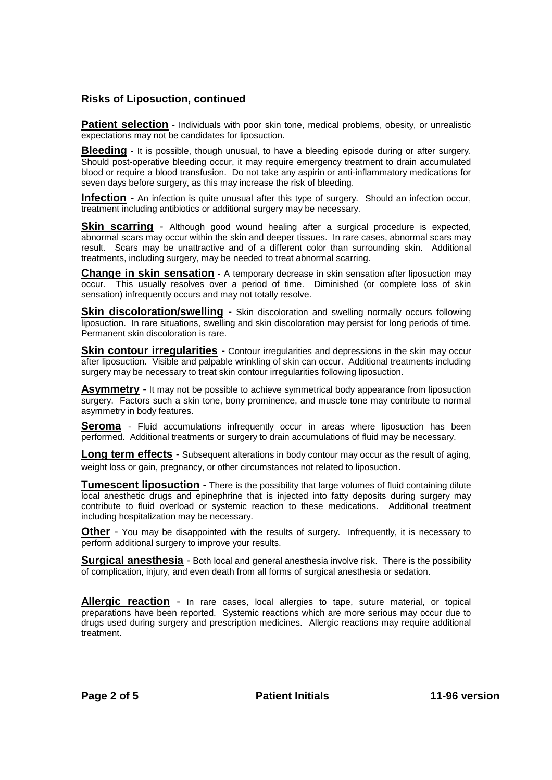## **Risks of Liposuction, continued**

**Patient selection** - Individuals with poor skin tone, medical problems, obesity, or unrealistic expectations may not be candidates for liposuction.

**Bleeding** - It is possible, though unusual, to have a bleeding episode during or after surgery. Should post-operative bleeding occur, it may require emergency treatment to drain accumulated blood or require a blood transfusion. Do not take any aspirin or anti-inflammatory medications for seven days before surgery, as this may increase the risk of bleeding.

**Infection** - An infection is quite unusual after this type of surgery. Should an infection occur, treatment including antibiotics or additional surgery may be necessary.

**Skin scarring** - Although good wound healing after a surgical procedure is expected, abnormal scars may occur within the skin and deeper tissues. In rare cases, abnormal scars may result. Scars may be unattractive and of a different color than surrounding skin. Additional treatments, including surgery, may be needed to treat abnormal scarring.

**Change in skin sensation** - A temporary decrease in skin sensation after liposuction may occur. This usually resolves over a period of time. Diminished (or complete loss of skin sensation) infrequently occurs and may not totally resolve.

**Skin discoloration/swelling** - Skin discoloration and swelling normally occurs following liposuction. In rare situations, swelling and skin discoloration may persist for long periods of time. Permanent skin discoloration is rare.

**Skin contour irregularities** - Contour irregularities and depressions in the skin may occur after liposuction. Visible and palpable wrinkling of skin can occur. Additional treatments including surgery may be necessary to treat skin contour irregularities following liposuction.

**Asymmetry** - It may not be possible to achieve symmetrical body appearance from liposuction surgery. Factors such a skin tone, bony prominence, and muscle tone may contribute to normal asymmetry in body features.

**Seroma** - Fluid accumulations infrequently occur in areas where liposuction has been performed. Additional treatments or surgery to drain accumulations of fluid may be necessary.

**Long term effects** - Subsequent alterations in body contour may occur as the result of aging, weight loss or gain, pregnancy, or other circumstances not related to liposuction.

**Tumescent liposuction** - There is the possibility that large volumes of fluid containing dilute local anesthetic drugs and epinephrine that is injected into fatty deposits during surgery may contribute to fluid overload or systemic reaction to these medications. Additional treatment including hospitalization may be necessary.

**Other** - You may be disappointed with the results of surgery. Infrequently, it is necessary to perform additional surgery to improve your results.

**Surgical anesthesia** - Both local and general anesthesia involve risk. There is the possibility of complication, injury, and even death from all forms of surgical anesthesia or sedation.

**Allergic reaction** - In rare cases, local allergies to tape, suture material, or topical preparations have been reported. Systemic reactions which are more serious may occur due to drugs used during surgery and prescription medicines. Allergic reactions may require additional treatment.

**Page 2 of 5 Patient Initials 11-96 version**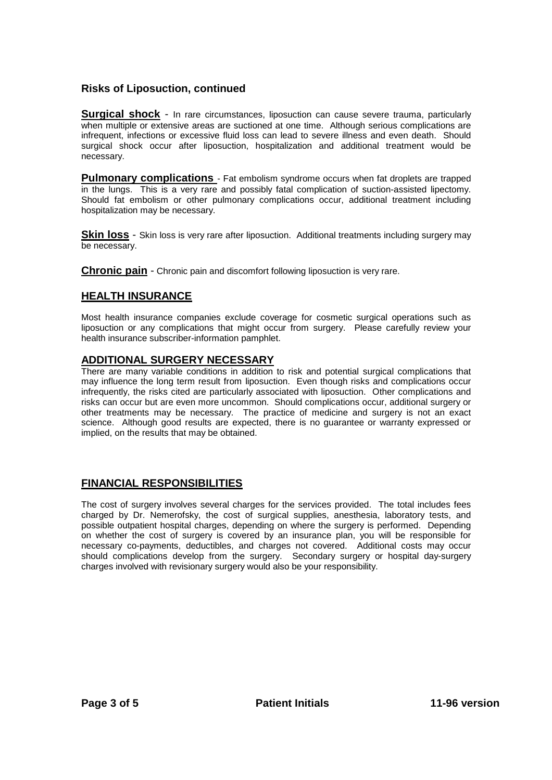# **Risks of Liposuction, continued**

**Surgical shock** - In rare circumstances, liposuction can cause severe trauma, particularly when multiple or extensive areas are suctioned at one time. Although serious complications are infrequent, infections or excessive fluid loss can lead to severe illness and even death. Should surgical shock occur after liposuction, hospitalization and additional treatment would be necessary.

**Pulmonary complications** - Fat embolism syndrome occurs when fat droplets are trapped in the lungs. This is a very rare and possibly fatal complication of suction-assisted lipectomy. Should fat embolism or other pulmonary complications occur, additional treatment including hospitalization may be necessary.

**Skin loss** - Skin loss is very rare after liposuction. Additional treatments including surgery may be necessary.

**Chronic pain** - Chronic pain and discomfort following liposuction is very rare.

# **HEALTH INSURANCE**

Most health insurance companies exclude coverage for cosmetic surgical operations such as liposuction or any complications that might occur from surgery. Please carefully review your health insurance subscriber-information pamphlet.

## **ADDITIONAL SURGERY NECESSARY**

There are many variable conditions in addition to risk and potential surgical complications that may influence the long term result from liposuction. Even though risks and complications occur infrequently, the risks cited are particularly associated with liposuction. Other complications and risks can occur but are even more uncommon. Should complications occur, additional surgery or other treatments may be necessary. The practice of medicine and surgery is not an exact science. Although good results are expected, there is no guarantee or warranty expressed or implied, on the results that may be obtained.

# **FINANCIAL RESPONSIBILITIES**

The cost of surgery involves several charges for the services provided. The total includes fees charged by Dr. Nemerofsky, the cost of surgical supplies, anesthesia, laboratory tests, and possible outpatient hospital charges, depending on where the surgery is performed. Depending on whether the cost of surgery is covered by an insurance plan, you will be responsible for necessary co-payments, deductibles, and charges not covered. Additional costs may occur should complications develop from the surgery. Secondary surgery or hospital day-surgery charges involved with revisionary surgery would also be your responsibility.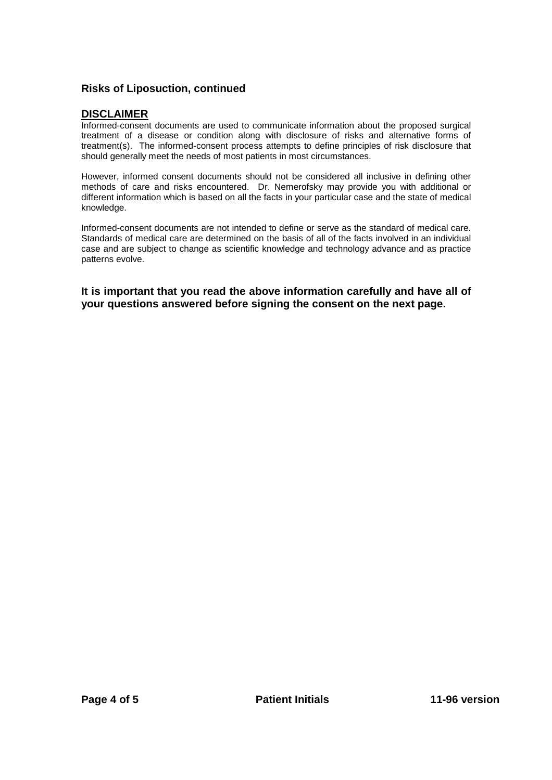# **Risks of Liposuction, continued**

## **DISCLAIMER**

Informed-consent documents are used to communicate information about the proposed surgical treatment of a disease or condition along with disclosure of risks and alternative forms of treatment(s). The informed-consent process attempts to define principles of risk disclosure that should generally meet the needs of most patients in most circumstances.

However, informed consent documents should not be considered all inclusive in defining other methods of care and risks encountered. Dr. Nemerofsky may provide you with additional or different information which is based on all the facts in your particular case and the state of medical knowledge.

Informed-consent documents are not intended to define or serve as the standard of medical care. Standards of medical care are determined on the basis of all of the facts involved in an individual case and are subject to change as scientific knowledge and technology advance and as practice patterns evolve.

**It is important that you read the above information carefully and have all of your questions answered before signing the consent on the next page.**